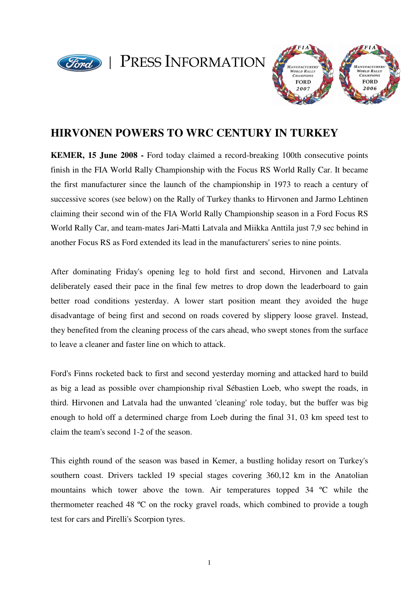

PRESS INFORMATION



# **HIRVONEN POWERS TO WRC CENTURY IN TURKEY**

**KEMER, 15 June 2008 -** Ford today claimed a record-breaking 100th consecutive points finish in the FIA World Rally Championship with the Focus RS World Rally Car. It became the first manufacturer since the launch of the championship in 1973 to reach a century of successive scores (see below) on the Rally of Turkey thanks to Hirvonen and Jarmo Lehtinen claiming their second win of the FIA World Rally Championship season in a Ford Focus RS World Rally Car, and team-mates Jari-Matti Latvala and Miikka Anttila just 7,9 sec behind in another Focus RS as Ford extended its lead in the manufacturers' series to nine points.

After dominating Friday's opening leg to hold first and second, Hirvonen and Latvala deliberately eased their pace in the final few metres to drop down the leaderboard to gain better road conditions yesterday. A lower start position meant they avoided the huge disadvantage of being first and second on roads covered by slippery loose gravel. Instead, they benefited from the cleaning process of the cars ahead, who swept stones from the surface to leave a cleaner and faster line on which to attack.

Ford's Finns rocketed back to first and second yesterday morning and attacked hard to build as big a lead as possible over championship rival Sébastien Loeb, who swept the roads, in third. Hirvonen and Latvala had the unwanted 'cleaning' role today, but the buffer was big enough to hold off a determined charge from Loeb during the final 31, 03 km speed test to claim the team's second 1-2 of the season.

This eighth round of the season was based in Kemer, a bustling holiday resort on Turkey's southern coast. Drivers tackled 19 special stages covering 360,12 km in the Anatolian mountains which tower above the town. Air temperatures topped 34 ºC while the thermometer reached 48 ºC on the rocky gravel roads, which combined to provide a tough test for cars and Pirelli's Scorpion tyres.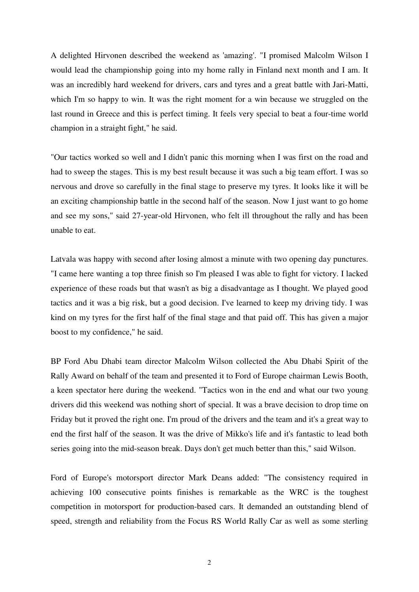A delighted Hirvonen described the weekend as 'amazing'. "I promised Malcolm Wilson I would lead the championship going into my home rally in Finland next month and I am. It was an incredibly hard weekend for drivers, cars and tyres and a great battle with Jari-Matti, which I'm so happy to win. It was the right moment for a win because we struggled on the last round in Greece and this is perfect timing. It feels very special to beat a four-time world champion in a straight fight," he said.

"Our tactics worked so well and I didn't panic this morning when I was first on the road and had to sweep the stages. This is my best result because it was such a big team effort. I was so nervous and drove so carefully in the final stage to preserve my tyres. It looks like it will be an exciting championship battle in the second half of the season. Now I just want to go home and see my sons," said 27-year-old Hirvonen, who felt ill throughout the rally and has been unable to eat.

Latvala was happy with second after losing almost a minute with two opening day punctures. "I came here wanting a top three finish so I'm pleased I was able to fight for victory. I lacked experience of these roads but that wasn't as big a disadvantage as I thought. We played good tactics and it was a big risk, but a good decision. I've learned to keep my driving tidy. I was kind on my tyres for the first half of the final stage and that paid off. This has given a major boost to my confidence," he said.

BP Ford Abu Dhabi team director Malcolm Wilson collected the Abu Dhabi Spirit of the Rally Award on behalf of the team and presented it to Ford of Europe chairman Lewis Booth, a keen spectator here during the weekend. "Tactics won in the end and what our two young drivers did this weekend was nothing short of special. It was a brave decision to drop time on Friday but it proved the right one. I'm proud of the drivers and the team and it's a great way to end the first half of the season. It was the drive of Mikko's life and it's fantastic to lead both series going into the mid-season break. Days don't get much better than this," said Wilson.

Ford of Europe's motorsport director Mark Deans added: "The consistency required in achieving 100 consecutive points finishes is remarkable as the WRC is the toughest competition in motorsport for production-based cars. It demanded an outstanding blend of speed, strength and reliability from the Focus RS World Rally Car as well as some sterling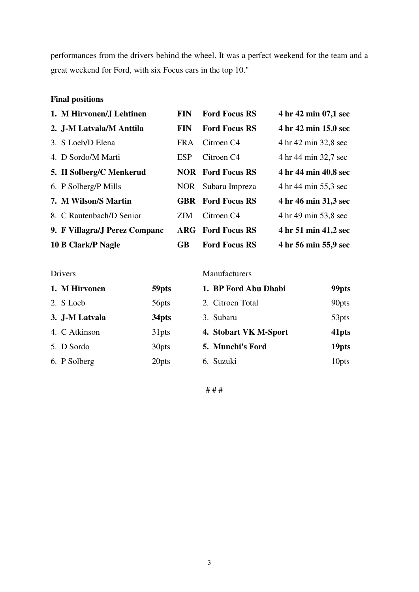performances from the drivers behind the wheel. It was a perfect weekend for the team and a great weekend for Ford, with six Focus cars in the top 10."

### **Final positions**

| 1. M Hirvonen/J Lehtinen      | <b>FIN</b> | <b>Ford Focus RS</b>     | 4 hr 42 min 07,1 sec |
|-------------------------------|------------|--------------------------|----------------------|
| 2. J-M Latvala/M Anttila      | <b>FIN</b> | <b>Ford Focus RS</b>     | 4 hr 42 min 15,0 sec |
| 3. S Loeb/D Elena             | <b>FRA</b> | Citroen C <sub>4</sub>   | 4 hr 42 min 32,8 sec |
| 4. D Sordo/M Marti            | <b>ESP</b> | Citroen C <sub>4</sub>   | 4 hr 44 min 32,7 sec |
| 5. H Solberg/C Menkerud       |            | <b>NOR</b> Ford Focus RS | 4 hr 44 min 40,8 sec |
| 6. P Solberg/P Mills          |            | NOR Subaru Impreza       | 4 hr 44 min 55,3 sec |
| 7. M Wilson/S Martin          |            | <b>GBR</b> Ford Focus RS | 4 hr 46 min 31,3 sec |
| 8. C Rautenbach/D Senior      | ZIM.       | Citroen C <sub>4</sub>   | 4 hr 49 min 53,8 sec |
| 9. F Villagra/J Perez Companc |            | <b>ARG</b> Ford Focus RS | 4 hr 51 min 41,2 sec |
| 10 B Clark/P Nagle            | GB         | <b>Ford Focus RS</b>     | 4 hr 56 min 55,9 sec |

### Drivers Manufacturers

| 1. M Hirvonen  | 59pts             | 1. BP Ford Abu Dhabi  | 99 <sub>pts</sub> |
|----------------|-------------------|-----------------------|-------------------|
| 2. S Loeb      | 56 <sub>pts</sub> | 2. Citroen Total      | 90pts             |
| 3. J-M Latvala | 34pts             | 3. Subaru             | 53 <sub>pts</sub> |
| 4. C Atkinson  | 31pts             | 4. Stobart VK M-Sport | 41pts             |
| 5. D Sordo     | 30 <sub>pts</sub> | 5. Munchi's Ford      | 19 <sub>pts</sub> |
| 6. P Solberg   | 20pts             | 6. Suzuki             | 10 <sub>pts</sub> |

# # #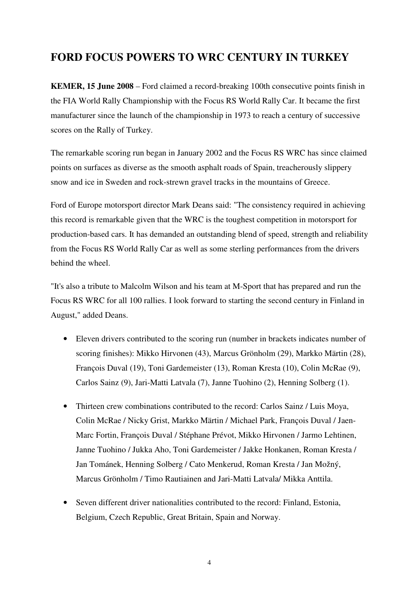## **FORD FOCUS POWERS TO WRC CENTURY IN TURKEY**

**KEMER, 15 June 2008** – Ford claimed a record-breaking 100th consecutive points finish in the FIA World Rally Championship with the Focus RS World Rally Car. It became the first manufacturer since the launch of the championship in 1973 to reach a century of successive scores on the Rally of Turkey.

The remarkable scoring run began in January 2002 and the Focus RS WRC has since claimed points on surfaces as diverse as the smooth asphalt roads of Spain, treacherously slippery snow and ice in Sweden and rock-strewn gravel tracks in the mountains of Greece.

Ford of Europe motorsport director Mark Deans said: "The consistency required in achieving this record is remarkable given that the WRC is the toughest competition in motorsport for production-based cars. It has demanded an outstanding blend of speed, strength and reliability from the Focus RS World Rally Car as well as some sterling performances from the drivers behind the wheel.

"It's also a tribute to Malcolm Wilson and his team at M-Sport that has prepared and run the Focus RS WRC for all 100 rallies. I look forward to starting the second century in Finland in August," added Deans.

- Eleven drivers contributed to the scoring run (number in brackets indicates number of scoring finishes): Mikko Hirvonen (43), Marcus Grönholm (29), Markko Märtin (28), François Duval (19), Toni Gardemeister (13), Roman Kresta (10), Colin McRae (9), Carlos Sainz (9), Jari-Matti Latvala (7), Janne Tuohino (2), Henning Solberg (1).
- Thirteen crew combinations contributed to the record: Carlos Sainz / Luis Moya, Colin McRae / Nicky Grist, Markko Märtin / Michael Park, François Duval / Jaen-Marc Fortin, François Duval / Stéphane Prévot, Mikko Hirvonen / Jarmo Lehtinen, Janne Tuohino / Jukka Aho, Toni Gardemeister / Jakke Honkanen, Roman Kresta / Jan Tománek, Henning Solberg / Cato Menkerud, Roman Kresta / Jan Možný, Marcus Grönholm / Timo Rautiainen and Jari-Matti Latvala/ Mikka Anttila.
- Seven different driver nationalities contributed to the record: Finland, Estonia, Belgium, Czech Republic, Great Britain, Spain and Norway.